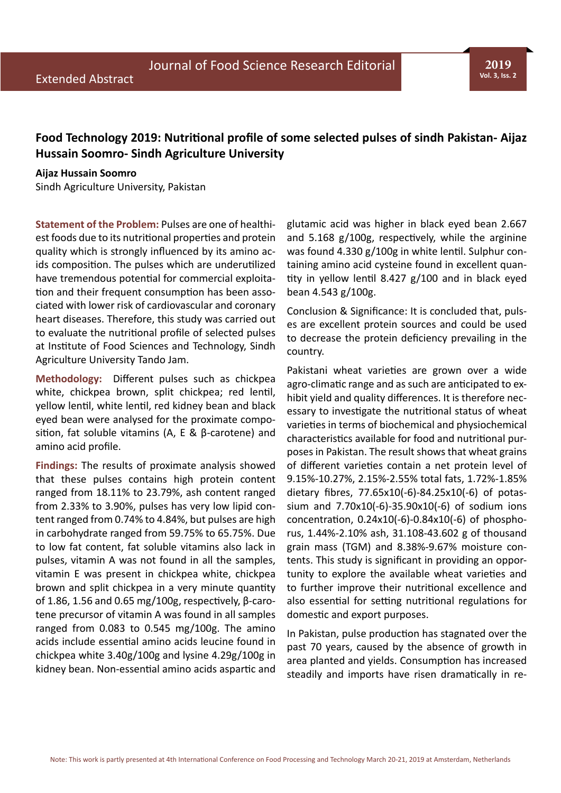**2019 Vol. 3, Iss. 2**

## **Food Technology 2019: Nutritional profile of some selected pulses of sindh Pakistan- Aijaz Hussain Soomro- Sindh Agriculture University**

## **Aijaz Hussain Soomro**

Sindh Agriculture University, Pakistan

**Statement of the Problem:** Pulses are one of healthiest foods due to its nutritional properties and protein quality which is strongly influenced by its amino acids composition. The pulses which are underutilized have tremendous potential for commercial exploitation and their frequent consumption has been associated with lower risk of cardiovascular and coronary heart diseases. Therefore, this study was carried out to evaluate the nutritional profile of selected pulses at Institute of Food Sciences and Technology, Sindh Agriculture University Tando Jam.

**Methodology:** Different pulses such as chickpea white, chickpea brown, split chickpea; red lentil, yellow lentil, white lentil, red kidney bean and black eyed bean were analysed for the proximate composition, fat soluble vitamins (A, E & β-carotene) and amino acid profile.

**Findings:** The results of proximate analysis showed that these pulses contains high protein content ranged from 18.11% to 23.79%, ash content ranged from 2.33% to 3.90%, pulses has very low lipid content ranged from 0.74% to 4.84%, but pulses are high in carbohydrate ranged from 59.75% to 65.75%. Due to low fat content, fat soluble vitamins also lack in pulses, vitamin A was not found in all the samples, vitamin E was present in chickpea white, chickpea brown and split chickpea in a very minute quantity of 1.86, 1.56 and 0.65 mg/100g, respectively, β-carotene precursor of vitamin A was found in all samples ranged from 0.083 to 0.545 mg/100g. The amino acids include essential amino acids leucine found in chickpea white 3.40g/100g and lysine 4.29g/100g in kidney bean. Non-essential amino acids aspartic and glutamic acid was higher in black eyed bean 2.667 and 5.168 g/100g, respectively, while the arginine was found 4.330 g/100g in white lentil. Sulphur containing amino acid cysteine found in excellent quantity in yellow lentil 8.427 g/100 and in black eyed bean 4.543 g/100g.

Conclusion & Significance: It is concluded that, pulses are excellent protein sources and could be used to decrease the protein deficiency prevailing in the country.

Pakistani wheat varieties are grown over a wide agro-climatic range and as such are anticipated to exhibit yield and quality differences. It is therefore necessary to investigate the nutritional status of wheat varieties in terms of biochemical and physiochemical characteristics available for food and nutritional purposes in Pakistan. The result shows that wheat grains of different varieties contain a net protein level of 9.15%-10.27%, 2.15%-2.55% total fats, 1.72%-1.85% dietary fibres, 77.65x10(-6)-84.25x10(-6) of potassium and 7.70x10(-6)-35.90x10(-6) of sodium ions concentration, 0.24x10(-6)-0.84x10(-6) of phosphorus, 1.44%-2.10% ash, 31.108-43.602 g of thousand grain mass (TGM) and 8.38%-9.67% moisture contents. This study is significant in providing an opportunity to explore the available wheat varieties and to further improve their nutritional excellence and also essential for setting nutritional regulations for domestic and export purposes.

In Pakistan, pulse production has stagnated over the past 70 years, caused by the absence of growth in area planted and yields. Consumption has increased steadily and imports have risen dramatically in re-